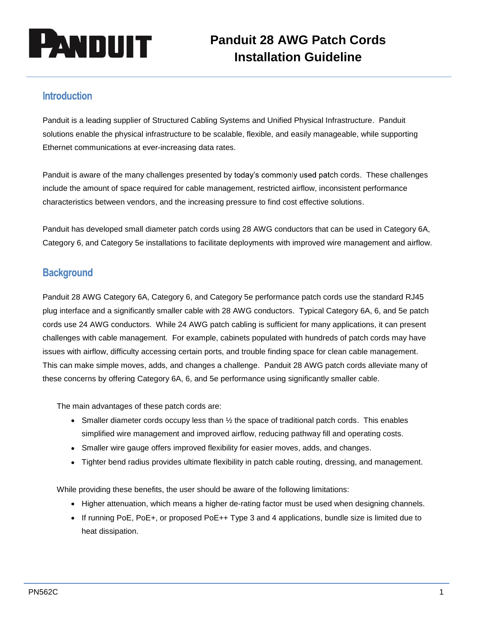

## **Introduction**

Panduit is a leading supplier of Structured Cabling Systems and Unified Physical Infrastructure. Panduit solutions enable the physical infrastructure to be scalable, flexible, and easily manageable, while supporting Ethernet communications at ever-increasing data rates.

Panduit is aware of the many challenges presented by today's commonly used patch cords. These challenges include the amount of space required for cable management, restricted airflow, inconsistent performance characteristics between vendors, and the increasing pressure to find cost effective solutions.

Panduit has developed small diameter patch cords using 28 AWG conductors that can be used in Category 6A, Category 6, and Category 5e installations to facilitate deployments with improved wire management and airflow.

## **Background**

Panduit 28 AWG Category 6A, Category 6, and Category 5e performance patch cords use the standard RJ45 plug interface and a significantly smaller cable with 28 AWG conductors. Typical Category 6A, 6, and 5e patch cords use 24 AWG conductors. While 24 AWG patch cabling is sufficient for many applications, it can present challenges with cable management. For example, cabinets populated with hundreds of patch cords may have issues with airflow, difficulty accessing certain ports, and trouble finding space for clean cable management. This can make simple moves, adds, and changes a challenge. Panduit 28 AWG patch cords alleviate many of these concerns by offering Category 6A, 6, and 5e performance using significantly smaller cable.

The main advantages of these patch cords are:

- Smaller diameter cords occupy less than  $\frac{1}{2}$  the space of traditional patch cords. This enables simplified wire management and improved airflow, reducing pathway fill and operating costs.
- Smaller wire gauge offers improved flexibility for easier moves, adds, and changes.
- Tighter bend radius provides ultimate flexibility in patch cable routing, dressing, and management.

While providing these benefits, the user should be aware of the following limitations:

- Higher attenuation, which means a higher de-rating factor must be used when designing channels.
- If running PoE, PoE+, or proposed PoE++ Type 3 and 4 applications, bundle size is limited due to heat dissipation.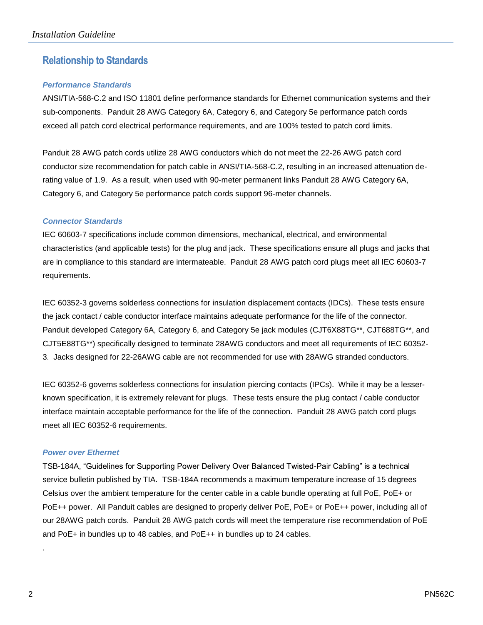# **Relationship to Standards**

## *Performance Standards*

ANSI/TIA-568-C.2 and ISO 11801 define performance standards for Ethernet communication systems and their sub-components. Panduit 28 AWG Category 6A, Category 6, and Category 5e performance patch cords exceed all patch cord electrical performance requirements, and are 100% tested to patch cord limits.

Panduit 28 AWG patch cords utilize 28 AWG conductors which do not meet the 22-26 AWG patch cord conductor size recommendation for patch cable in ANSI/TIA-568-C.2, resulting in an increased attenuation derating value of 1.9. As a result, when used with 90-meter permanent links Panduit 28 AWG Category 6A, Category 6, and Category 5e performance patch cords support 96-meter channels.

### *Connector Standards*

IEC 60603-7 specifications include common dimensions, mechanical, electrical, and environmental characteristics (and applicable tests) for the plug and jack. These specifications ensure all plugs and jacks that are in compliance to this standard are intermateable. Panduit 28 AWG patch cord plugs meet all IEC 60603-7 requirements.

IEC 60352-3 governs solderless connections for insulation displacement contacts (IDCs). These tests ensure the jack contact / cable conductor interface maintains adequate performance for the life of the connector. Panduit developed Category 6A, Category 6, and Category 5e jack modules (CJT6X88TG\*\*, CJT688TG\*\*, and CJT5E88TG\*\*) specifically designed to terminate 28AWG conductors and meet all requirements of IEC 60352- 3. Jacks designed for 22-26AWG cable are not recommended for use with 28AWG stranded conductors.

IEC 60352-6 governs solderless connections for insulation piercing contacts (IPCs). While it may be a lesserknown specification, it is extremely relevant for plugs. These tests ensure the plug contact / cable conductor interface maintain acceptable performance for the life of the connection. Panduit 28 AWG patch cord plugs meet all IEC 60352-6 requirements.

### *Power over Ethernet*

TSB-184A, "Guidelines for Supporting Power Delivery Over Balanced Twisted-Pair Cabling" is a technical service bulletin published by TIA. TSB-184A recommends a maximum temperature increase of 15 degrees Celsius over the ambient temperature for the center cable in a cable bundle operating at full PoE, PoE+ or PoE++ power. All Panduit cables are designed to properly deliver PoE, PoE+ or PoE++ power, including all of our 28AWG patch cords. Panduit 28 AWG patch cords will meet the temperature rise recommendation of PoE and PoE+ in bundles up to 48 cables, and PoE++ in bundles up to 24 cables.

.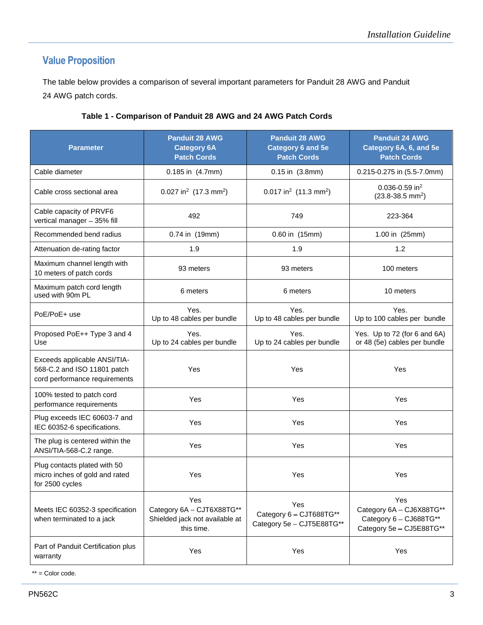# **Value Proposition**

The table below provides a comparison of several important parameters for Panduit 28 AWG and Panduit 24 AWG patch cords.

| <b>Parameter</b>                                                                             | <b>Panduit 28 AWG</b><br><b>Category 6A</b><br><b>Patch Cords</b>                | <b>Panduit 28 AWG</b><br><b>Category 6 and 5e</b><br><b>Patch Cords</b> | <b>Panduit 24 AWG</b><br>Category 6A, 6, and 5e<br><b>Patch Cords</b>                 |  |
|----------------------------------------------------------------------------------------------|----------------------------------------------------------------------------------|-------------------------------------------------------------------------|---------------------------------------------------------------------------------------|--|
| Cable diameter                                                                               | 0.185 in (4.7mm)                                                                 | 0.15 in (3.8mm)                                                         | 0.215-0.275 in (5.5-7.0mm)                                                            |  |
| Cable cross sectional area                                                                   | 0.027 in <sup>2</sup> (17.3 mm <sup>2</sup> )                                    | $0.017$ in <sup>2</sup> (11.3 mm <sup>2</sup> )                         | $0.036 - 0.59$ in <sup>2</sup><br>$(23.8-38.5$ mm <sup>2</sup> )                      |  |
| Cable capacity of PRVF6<br>vertical manager - 35% fill                                       | 492                                                                              | 749                                                                     | 223-364                                                                               |  |
| Recommended bend radius                                                                      | 0.74 in (19mm)                                                                   | 0.60 in (15mm)                                                          | 1.00 in (25mm)                                                                        |  |
| Attenuation de-rating factor                                                                 | 1.9                                                                              | 1.9                                                                     | 1.2                                                                                   |  |
| Maximum channel length with<br>10 meters of patch cords                                      | 93 meters                                                                        | 93 meters                                                               | 100 meters                                                                            |  |
| Maximum patch cord length<br>used with 90m PL                                                | 6 meters                                                                         | 6 meters                                                                | 10 meters                                                                             |  |
| PoE/PoE+ use                                                                                 | Yes.<br>Up to 48 cables per bundle                                               | Yes.<br>Up to 48 cables per bundle                                      | Yes.<br>Up to 100 cables per bundle                                                   |  |
| Proposed PoE++ Type 3 and 4<br>Use                                                           | Yes.<br>Up to 24 cables per bundle                                               | Yes.<br>Up to 24 cables per bundle                                      | Yes. Up to 72 (for 6 and 6A)<br>or 48 (5e) cables per bundle                          |  |
| Exceeds applicable ANSI/TIA-<br>568-C.2 and ISO 11801 patch<br>cord performance requirements | Yes                                                                              | Yes                                                                     | Yes                                                                                   |  |
| 100% tested to patch cord<br>performance requirements                                        | Yes                                                                              | Yes                                                                     | Yes                                                                                   |  |
| Plug exceeds IEC 60603-7 and<br>IEC 60352-6 specifications.                                  | Yes                                                                              | Yes                                                                     | Yes                                                                                   |  |
| The plug is centered within the<br>ANSI/TIA-568-C.2 range.                                   | Yes                                                                              | Yes                                                                     | Yes                                                                                   |  |
| Plug contacts plated with 50<br>micro inches of gold and rated<br>for 2500 cycles            | Yes                                                                              | Yes                                                                     | Yes                                                                                   |  |
| Meets IEC 60352-3 specification<br>when terminated to a jack                                 | Yes<br>Category 6A - CJT6X88TG**<br>Shielded jack not available at<br>this time. | Yes<br>Category 6 - CJT688TG**<br>Category 5e - CJT5E88TG**             | Yes<br>Category 6A - CJ6X88TG**<br>Category 6 - CJ688TG**<br>Category 5e - CJ5E88TG** |  |
| Part of Panduit Certification plus<br>warranty                                               | Yes                                                                              | Yes                                                                     | Yes                                                                                   |  |

## **Table 1 - Comparison of Panduit 28 AWG and 24 AWG Patch Cords**

\*\* = Color code.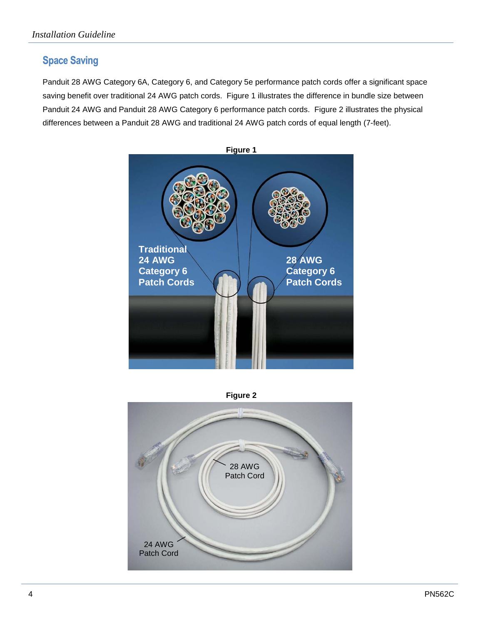# **Space Saving**

Panduit 28 AWG Category 6A, Category 6, and Category 5e performance patch cords offer a significant space saving benefit over traditional 24 AWG patch cords. Figure 1 illustrates the difference in bundle size between Panduit 24 AWG and Panduit 28 AWG Category 6 performance patch cords. Figure 2 illustrates the physical differences between a Panduit 28 AWG and traditional 24 AWG patch cords of equal length (7-feet).





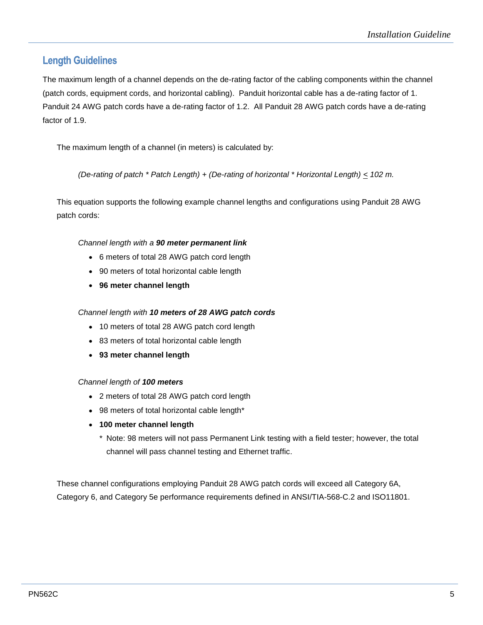## **Length Guidelines**

The maximum length of a channel depends on the de-rating factor of the cabling components within the channel (patch cords, equipment cords, and horizontal cabling). Panduit horizontal cable has a de-rating factor of 1. Panduit 24 AWG patch cords have a de-rating factor of 1.2. All Panduit 28 AWG patch cords have a de-rating factor of 1.9.

The maximum length of a channel (in meters) is calculated by:

*(De-rating of patch \* Patch Length) + (De-rating of horizontal \* Horizontal Length) < 102 m.*

This equation supports the following example channel lengths and configurations using Panduit 28 AWG patch cords:

### *Channel length with a 90 meter permanent link*

- 6 meters of total 28 AWG patch cord length
- 90 meters of total horizontal cable length
- **96 meter channel length**

### *Channel length with 10 meters of 28 AWG patch cords*

- 10 meters of total 28 AWG patch cord length
- 83 meters of total horizontal cable length
- **93 meter channel length**

#### *Channel length of 100 meters*

- 2 meters of total 28 AWG patch cord length
- 98 meters of total horizontal cable length\*
- **100 meter channel length**
	- \* Note: 98 meters will not pass Permanent Link testing with a field tester; however, the total channel will pass channel testing and Ethernet traffic.

These channel configurations employing Panduit 28 AWG patch cords will exceed all Category 6A, Category 6, and Category 5e performance requirements defined in ANSI/TIA-568-C.2 and ISO11801.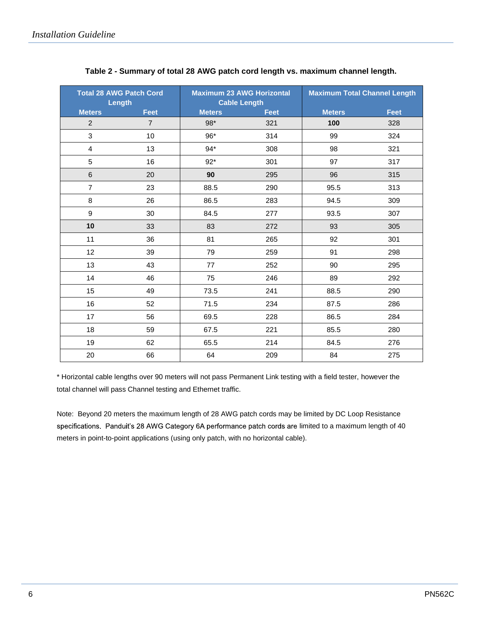| <b>Total 28 AWG Patch Cord</b><br>Length |                | <b>Maximum 23 AWG Horizontal</b><br><b>Cable Length</b> |             | <b>Maximum Total Channel Length</b> |             |
|------------------------------------------|----------------|---------------------------------------------------------|-------------|-------------------------------------|-------------|
| <b>Meters</b>                            | <b>Feet</b>    | <b>Meters</b>                                           | <b>Feet</b> | <b>Meters</b>                       | <b>Feet</b> |
| $\overline{2}$                           | $\overline{7}$ | 98*                                                     | 321         | 100                                 | 328         |
| $\mathfrak{S}$                           | 10             | 96*                                                     | 314         | 99                                  | 324         |
| $\overline{\mathbf{4}}$                  | 13             | $94*$                                                   | 308         | 98                                  | 321         |
| 5                                        | 16             | $92*$                                                   | 301         | 97                                  | 317         |
| $\,6$                                    | 20             | 90                                                      | 295         | 96                                  | 315         |
| $\overline{7}$                           | 23             | 88.5                                                    | 290         | 95.5                                | 313         |
| 8                                        | 26             | 86.5                                                    | 283         | 94.5                                | 309         |
| $\boldsymbol{9}$                         | 30             | 84.5                                                    | 277         | 93.5                                | 307         |
| 10                                       | 33             | 83                                                      | 272         | 93                                  | 305         |
| 11                                       | 36             | 81                                                      | 265         | 92                                  | 301         |
| 12                                       | 39             | 79                                                      | 259         | 91                                  | 298         |
| 13                                       | 43             | 77                                                      | 252         | 90                                  | 295         |
| 14                                       | 46             | 75                                                      | 246         | 89                                  | 292         |
| 15                                       | 49             | 73.5                                                    | 241         | 88.5                                | 290         |
| 16                                       | 52             | 71.5                                                    | 234         | 87.5                                | 286         |
| 17                                       | 56             | 69.5                                                    | 228         | 86.5                                | 284         |
| 18                                       | 59             | 67.5                                                    | 221         | 85.5                                | 280         |
| 19                                       | 62             | 65.5                                                    | 214         | 84.5                                | 276         |
| 20                                       | 66             | 64                                                      | 209         | 84                                  | 275         |

## **Table 2 - Summary of total 28 AWG patch cord length vs. maximum channel length.**

\* Horizontal cable lengths over 90 meters will not pass Permanent Link testing with a field tester, however the total channel will pass Channel testing and Ethernet traffic.

Note: Beyond 20 meters the maximum length of 28 AWG patch cords may be limited by DC Loop Resistance specifications. Panduit's 28 AWG Category 6A performance patch cords are limited to a maximum length of 40 meters in point-to-point applications (using only patch, with no horizontal cable).